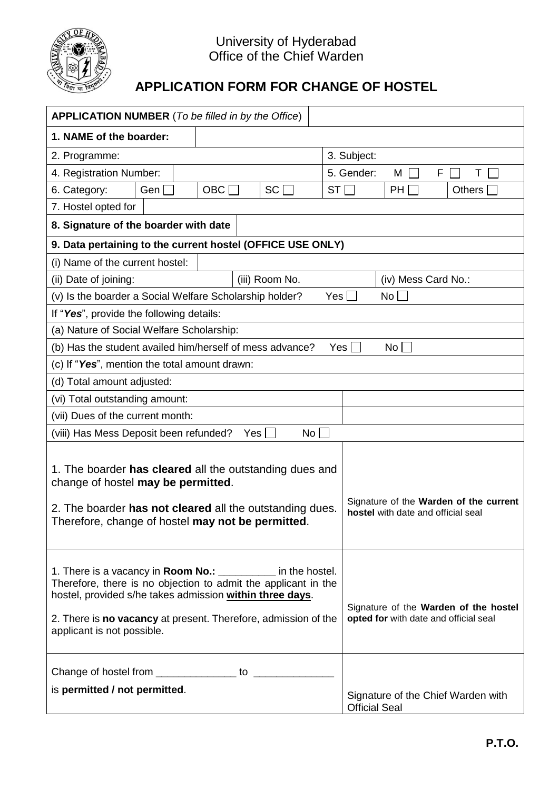

## University of Hyderabad Office of the Chief Warden

## **APPLICATION FORM FOR CHANGE OF HOSTEL**

| <b>APPLICATION NUMBER</b> (To be filled in by the Office)                                                                                                                                                                                                                                   |                                                                                |  |  |  |
|---------------------------------------------------------------------------------------------------------------------------------------------------------------------------------------------------------------------------------------------------------------------------------------------|--------------------------------------------------------------------------------|--|--|--|
| 1. NAME of the boarder:                                                                                                                                                                                                                                                                     |                                                                                |  |  |  |
| 2. Programme:                                                                                                                                                                                                                                                                               | 3. Subject:                                                                    |  |  |  |
| 4. Registration Number:                                                                                                                                                                                                                                                                     | 5. Gender:<br>F<br>Τ<br>М                                                      |  |  |  |
| Gen<br>OBC<br>SC  <br>6. Category:                                                                                                                                                                                                                                                          | ST<br><b>PH</b><br>Others $\vert$                                              |  |  |  |
| 7. Hostel opted for                                                                                                                                                                                                                                                                         |                                                                                |  |  |  |
| 8. Signature of the boarder with date                                                                                                                                                                                                                                                       |                                                                                |  |  |  |
| 9. Data pertaining to the current hostel (OFFICE USE ONLY)                                                                                                                                                                                                                                  |                                                                                |  |  |  |
| (i) Name of the current hostel:                                                                                                                                                                                                                                                             |                                                                                |  |  |  |
| (ii) Date of joining:<br>(iii) Room No.                                                                                                                                                                                                                                                     | (iv) Mess Card No.:                                                            |  |  |  |
| (v) Is the boarder a Social Welfare Scholarship holder?<br>Yes  <br>No <sub>1</sub>                                                                                                                                                                                                         |                                                                                |  |  |  |
| If "Yes", provide the following details:                                                                                                                                                                                                                                                    |                                                                                |  |  |  |
| (a) Nature of Social Welfare Scholarship:                                                                                                                                                                                                                                                   |                                                                                |  |  |  |
| (b) Has the student availed him/herself of mess advance?<br>Yes  <br>No l                                                                                                                                                                                                                   |                                                                                |  |  |  |
| (c) If "Yes", mention the total amount drawn:                                                                                                                                                                                                                                               |                                                                                |  |  |  |
| (d) Total amount adjusted:                                                                                                                                                                                                                                                                  |                                                                                |  |  |  |
| (vi) Total outstanding amount:                                                                                                                                                                                                                                                              |                                                                                |  |  |  |
| (vii) Dues of the current month:                                                                                                                                                                                                                                                            |                                                                                |  |  |  |
| (viii) Has Mess Deposit been refunded?<br>$No \Box$<br>Yes                                                                                                                                                                                                                                  |                                                                                |  |  |  |
| 1. The boarder has cleared all the outstanding dues and<br>change of hostel may be permitted.<br>2. The boarder has not cleared all the outstanding dues.<br>Therefore, change of hostel may not be permitted                                                                               | Signature of the Warden of the current<br>hostel with date and official seal   |  |  |  |
| 1. There is a vacancy in Room No.: ___________ in the hostel.<br>Therefore, there is no objection to admit the applicant in the<br>hostel, provided s/he takes admission within three days.<br>2. There is no vacancy at present. Therefore, admission of the<br>applicant is not possible. | Signature of the Warden of the hostel<br>opted for with date and official seal |  |  |  |
| is permitted / not permitted.                                                                                                                                                                                                                                                               | Signature of the Chief Warden with<br><b>Official Seal</b>                     |  |  |  |